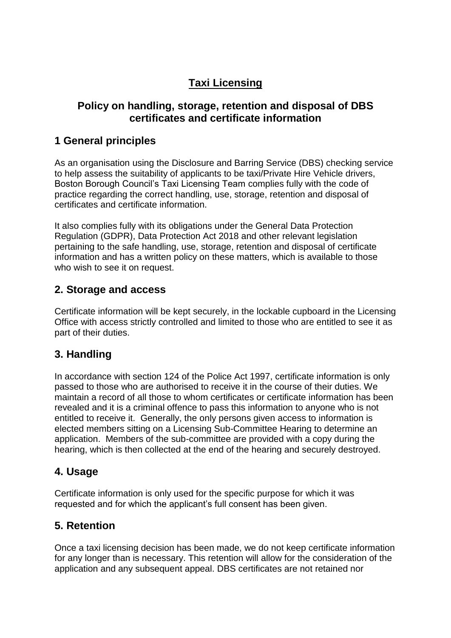# **Taxi Licensing**

#### **Policy on handling, storage, retention and disposal of DBS certificates and certificate information**

### **1 General principles**

As an organisation using the Disclosure and Barring Service (DBS) checking service to help assess the suitability of applicants to be taxi/Private Hire Vehicle drivers, Boston Borough Council's Taxi Licensing Team complies fully with the code of practice regarding the correct handling, use, storage, retention and disposal of certificates and certificate information.

It also complies fully with its obligations under the General Data Protection Regulation (GDPR), Data Protection Act 2018 and other relevant legislation pertaining to the safe handling, use, storage, retention and disposal of certificate information and has a written policy on these matters, which is available to those who wish to see it on request.

### **2. Storage and access**

Certificate information will be kept securely, in the lockable cupboard in the Licensing Office with access strictly controlled and limited to those who are entitled to see it as part of their duties.

### **3. Handling**

In accordance with section 124 of the Police Act 1997, certificate information is only passed to those who are authorised to receive it in the course of their duties. We maintain a record of all those to whom certificates or certificate information has been revealed and it is a criminal offence to pass this information to anyone who is not entitled to receive it. Generally, the only persons given access to information is elected members sitting on a Licensing Sub-Committee Hearing to determine an application. Members of the sub-committee are provided with a copy during the hearing, which is then collected at the end of the hearing and securely destroyed.

### **4. Usage**

Certificate information is only used for the specific purpose for which it was requested and for which the applicant's full consent has been given.

### **5. Retention**

Once a taxi licensing decision has been made, we do not keep certificate information for any longer than is necessary. This retention will allow for the consideration of the application and any subsequent appeal. DBS certificates are not retained nor